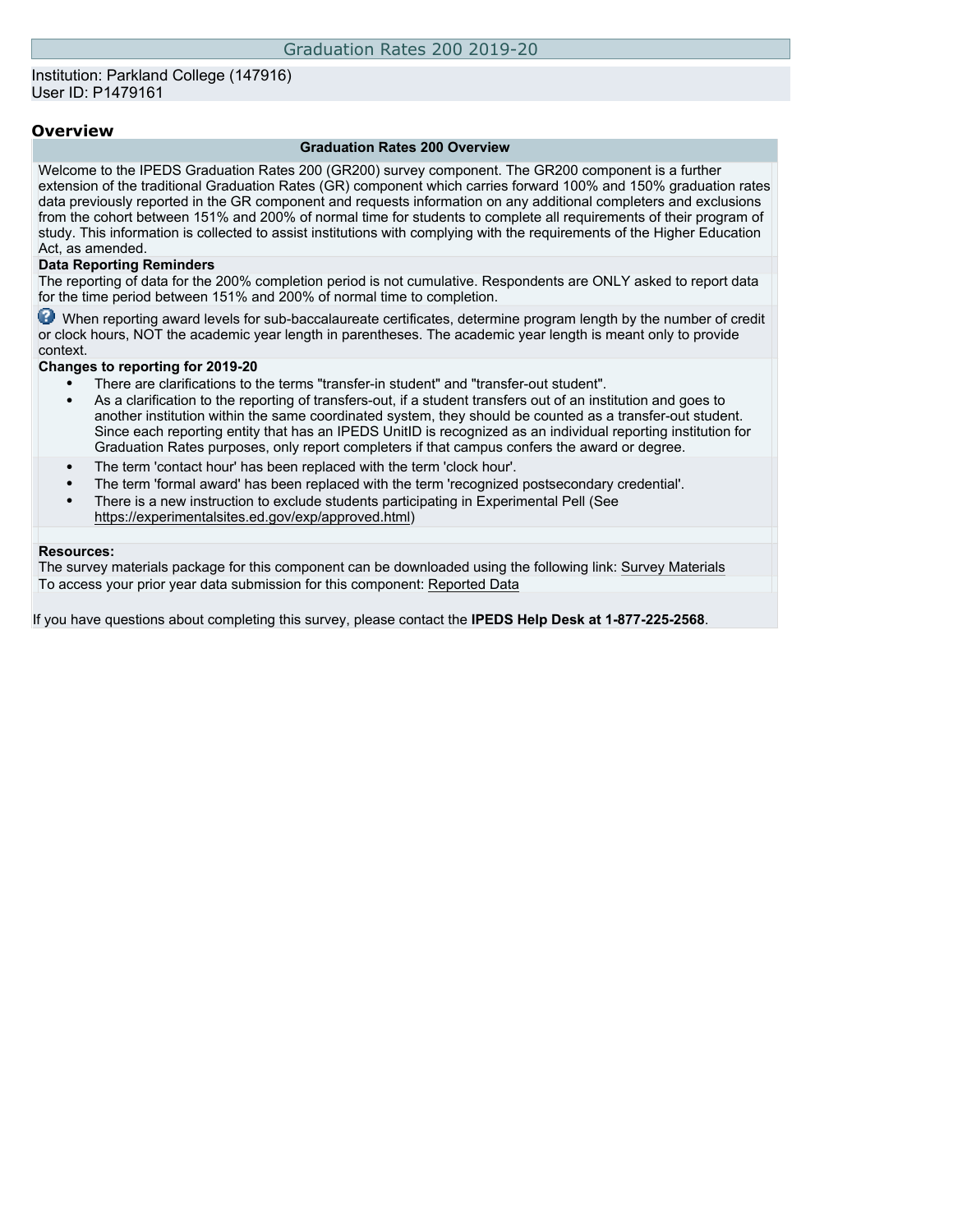### **Overview**

#### **Graduation Rates 200 Overview**

Welcome to the IPEDS Graduation Rates 200 (GR200) survey component. The GR200 component is a further extension of the traditional Graduation Rates (GR) component which carries forward 100% and 150% graduation rates data previously reported in the GR component and requests information on any additional completers and exclusions from the cohort between 151% and 200% of normal time for students to complete all requirements of their program of study. This information is collected to assist institutions with complying with the requirements of the Higher Education Act, as amended.

#### **Data Reporting Reminders**

The reporting of data for the 200% completion period is not cumulative. Respondents are ONLY asked to report data for the time period between 151% and 200% of normal time to completion.

When reporting award levels for sub-baccalaureate certificates, determine program length by the number of credit or clock hours, NOT the academic year length in parentheses. The academic year length is meant only to provide context.

#### **Changes to reporting for 2019-20**

- There are clarifications to the terms "transfer-in student" and "transfer-out student".
- As a clarification to the reporting of transfers-out, if a student transfers out of an institution and goes to another institution within the same coordinated system, they should be counted as a transfer-out student. Since each reporting entity that has an IPEDS UnitID is recognized as an individual reporting institution for Graduation Rates purposes, only report completers if that campus confers the award or degree.
- The term 'contact hour' has been replaced with the term 'clock hour'.
- The term 'formal award' has been replaced with the term 'recognized postsecondary credential'.
- There is a new instruction to exclude students participating in Experimental Pell (See [https://experimentalsites.ed.gov/exp/approved.html\)](https://experimentalsites.ed.gov/exp/approved.html)

#### **Resources:**

The survey materials package for this component can be downloaded using the following link: [Survey Materials](https://surveys.nces.ed.gov/ipeds/VisIndex.aspx) To access your prior year data submission for this component: [Reported Data](http://192.168.102.89/ipeds/PriorYearDataRedirect.aspx?survey_id=2)

If you have questions about completing this survey, please contact the **IPEDS Help Desk at 1-877-225-2568**.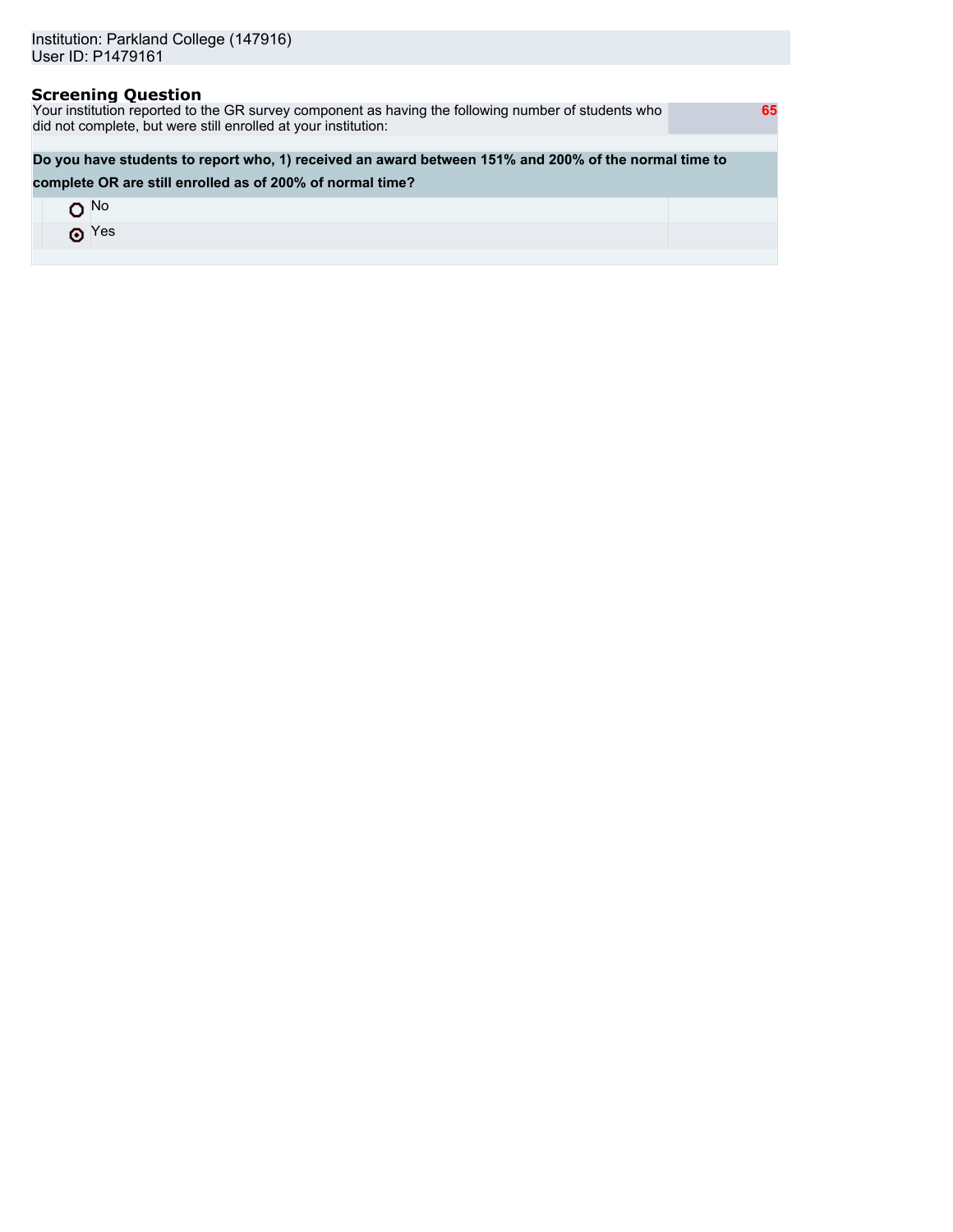### **Screening Question**

Your institution reported to the GR survey component as having the following number of students who did not complete, but were still enrolled at your institution:

### **Do you have students to report who, 1) received an award between 151% and 200% of the normal time to**

### **complete OR are still enrolled as of 200% of normal time?**

| $\blacksquare$ No |  |
|-------------------|--|
| $\odot$ Yes       |  |
|                   |  |

 **65**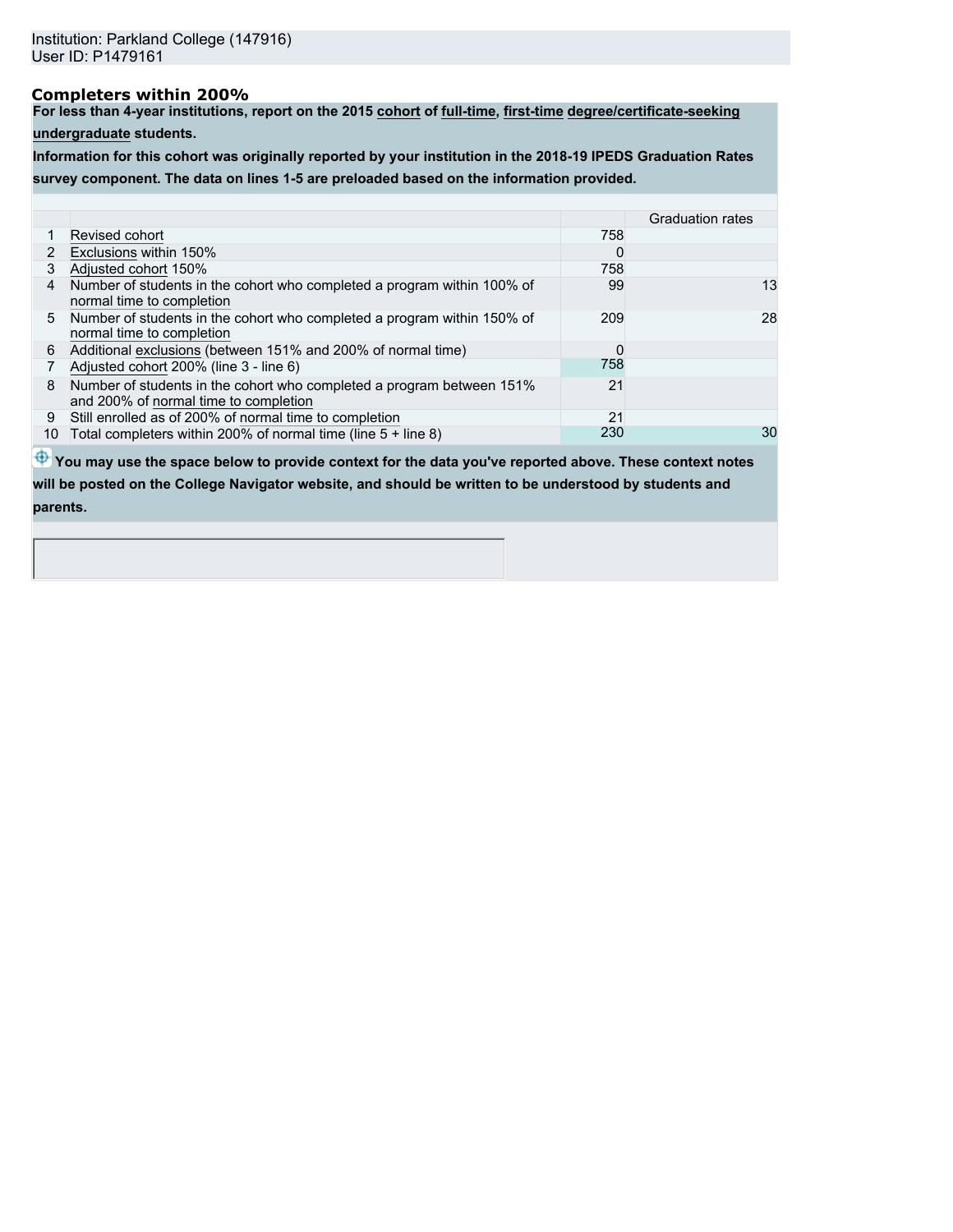# **Completers within 200%**

**For less than 4-year institutions, report on the 2015 cohort of full-time, first-time degree/certificate-seeking**

**undergraduate students.**

**Information for this cohort was originally reported by your institution in the 2018-19 IPEDS Graduation Rates survey component. The data on lines 1-5 are preloaded based on the information provided.**

|    |                                                                                                                |     | <b>Graduation rates</b> |
|----|----------------------------------------------------------------------------------------------------------------|-----|-------------------------|
|    | Revised cohort                                                                                                 | 758 |                         |
| 2  | Exclusions within 150%                                                                                         | 0   |                         |
| 3  | Adjusted cohort 150%                                                                                           | 758 |                         |
| 4  | Number of students in the cohort who completed a program within 100% of<br>normal time to completion           | 99  | 13                      |
|    | 5 Number of students in the cohort who completed a program within 150% of<br>normal time to completion         | 209 | 28                      |
| 6  | Additional exclusions (between 151% and 200% of normal time)                                                   | 0   |                         |
|    | Adjusted cohort 200% (line 3 - line 6)                                                                         | 758 |                         |
| 8  | Number of students in the cohort who completed a program between 151%<br>and 200% of normal time to completion | 21  |                         |
| 9  | Still enrolled as of 200% of normal time to completion                                                         | 21  |                         |
| 10 | Total completers within 200% of normal time (line $5 +$ line 8)                                                | 230 | 30                      |

 $\bigoplus$  **You may use the space below to provide context for the data you've reported above. These context notes will be posted on the College Navigator website, and should be written to be understood by students and parents.**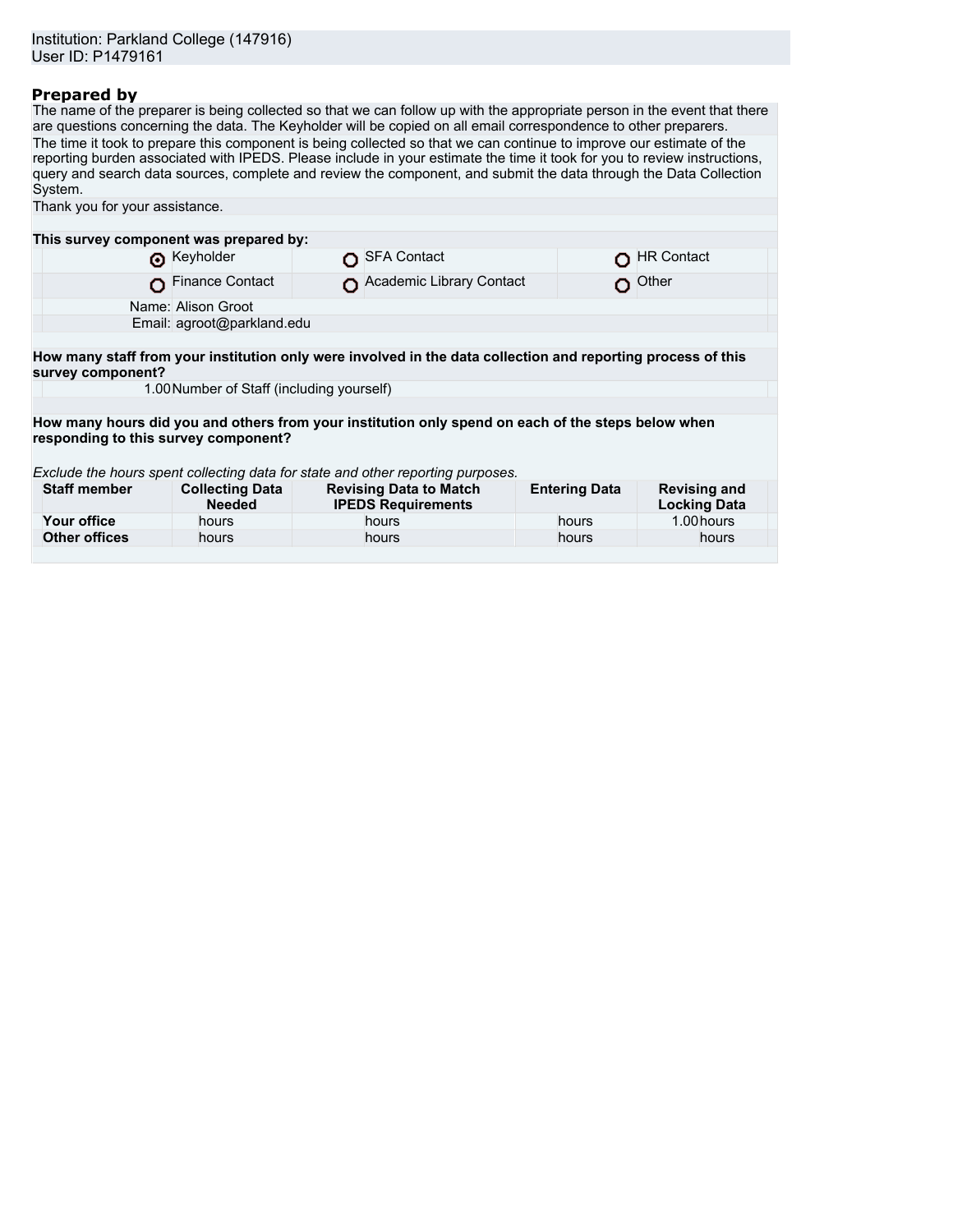## **Prepared by**

The name of the preparer is being collected so that we can follow up with the appropriate person in the event that there are questions concerning the data. The Keyholder will be copied on all email correspondence to other preparers. The time it took to prepare this component is being collected so that we can continue to improve our estimate of the reporting burden associated with IPEDS. Please include in your estimate the time it took for you to review instructions, query and search data sources, complete and review the component, and submit the data through the Data Collection System.

| Thank you for your assistance.                                                                                                    |                                         |  |                                                            |                      |                                            |  |  |  |  |
|-----------------------------------------------------------------------------------------------------------------------------------|-----------------------------------------|--|------------------------------------------------------------|----------------------|--------------------------------------------|--|--|--|--|
|                                                                                                                                   |                                         |  |                                                            |                      |                                            |  |  |  |  |
| This survey component was prepared by:                                                                                            |                                         |  |                                                            |                      |                                            |  |  |  |  |
|                                                                                                                                   | Reyholder                               |  | <b>SFA Contact</b>                                         |                      | <b>HR Contact</b>                          |  |  |  |  |
|                                                                                                                                   | <b>Finance Contact</b>                  |  | Academic Library Contact                                   | O.                   | Other                                      |  |  |  |  |
| Name: Alison Groot                                                                                                                |                                         |  |                                                            |                      |                                            |  |  |  |  |
|                                                                                                                                   | Email: agroot@parkland.edu              |  |                                                            |                      |                                            |  |  |  |  |
|                                                                                                                                   |                                         |  |                                                            |                      |                                            |  |  |  |  |
| How many staff from your institution only were involved in the data collection and reporting process of this<br>survey component? |                                         |  |                                                            |                      |                                            |  |  |  |  |
| 1.00 Number of Staff (including yourself)                                                                                         |                                         |  |                                                            |                      |                                            |  |  |  |  |
|                                                                                                                                   |                                         |  |                                                            |                      |                                            |  |  |  |  |
| How many hours did you and others from your institution only spend on each of the steps below when                                |                                         |  |                                                            |                      |                                            |  |  |  |  |
| responding to this survey component?                                                                                              |                                         |  |                                                            |                      |                                            |  |  |  |  |
|                                                                                                                                   |                                         |  |                                                            |                      |                                            |  |  |  |  |
| Exclude the hours spent collecting data for state and other reporting purposes.                                                   |                                         |  |                                                            |                      |                                            |  |  |  |  |
| <b>Staff member</b>                                                                                                               | <b>Collecting Data</b><br><b>Needed</b> |  | <b>Revising Data to Match</b><br><b>IPEDS Requirements</b> | <b>Entering Data</b> | <b>Revising and</b><br><b>Locking Data</b> |  |  |  |  |
| Your office                                                                                                                       | hours                                   |  | hours                                                      | hours                | 1.00 hours                                 |  |  |  |  |
| <b>Other offices</b>                                                                                                              | hours                                   |  | hours                                                      | hours                | hours                                      |  |  |  |  |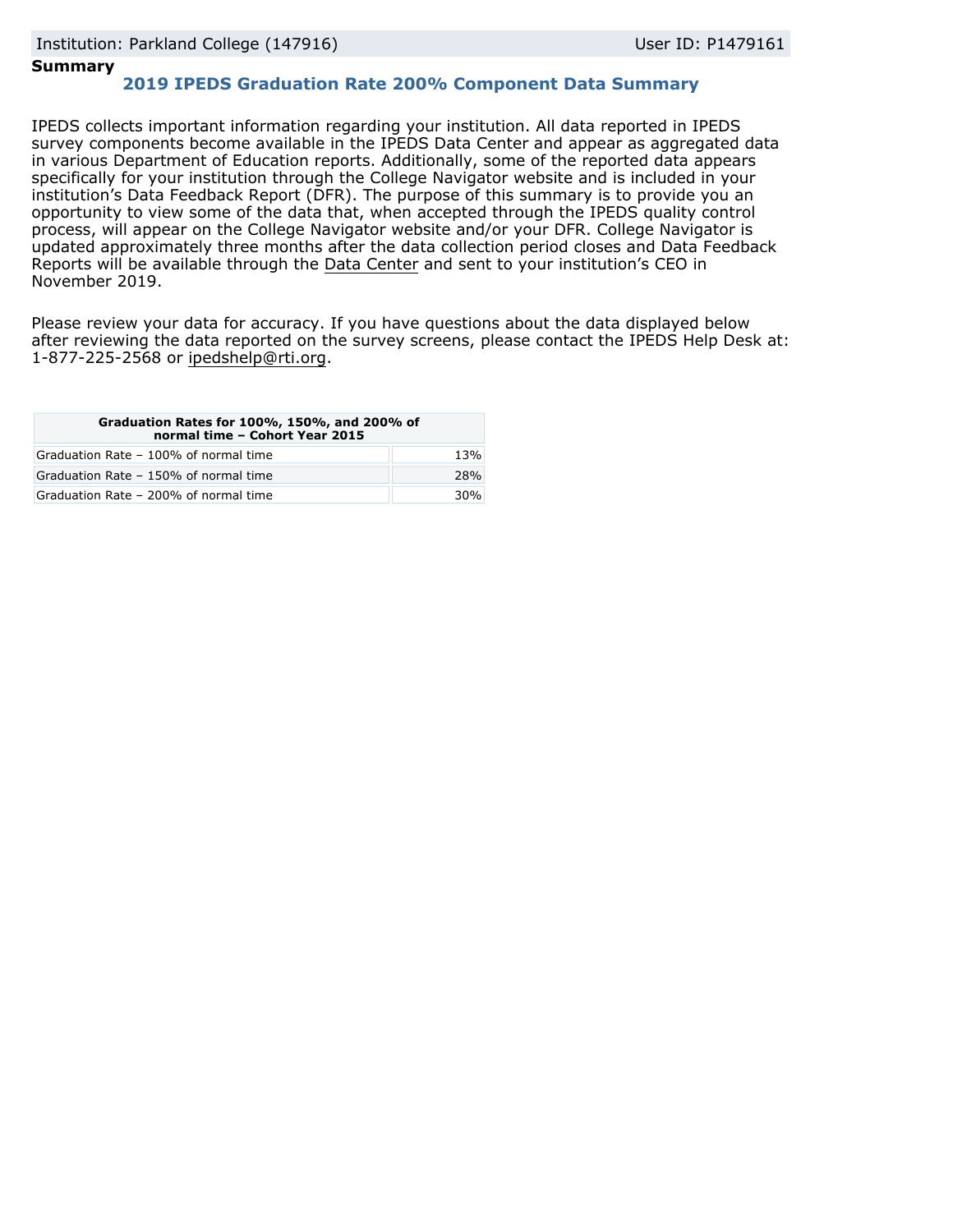### **Summary**

## **2019 IPEDS Graduation Rate 200% Component Data Summary**

IPEDS collects important information regarding your institution. All data reported in IPEDS survey components become available in the IPEDS Data Center and appear as aggregated data in various Department of Education reports. Additionally, some of the reported data appears specifically for your institution through the College Navigator website and is included in your institution's Data Feedback Report (DFR). The purpose of this summary is to provide you an opportunity to view some of the data that, when accepted through the IPEDS quality control process, will appear on the College Navigator website and/or your DFR. College Navigator is updated approximately three months after the data collection period closes and Data Feedback Reports will be available through the [Data Center](https://nces.ed.gov/ipeds/use-the-data) and sent to your institution's CEO in November 2019.

Please review your data for accuracy. If you have questions about the data displayed below after reviewing the data reported on the survey screens, please contact the IPEDS Help Desk at: 1-877-225-2568 or ipedshelp@rti.org.

| Graduation Rates for 100%, 150%, and 200% of<br>normal time - Cohort Year 2015 |     |  |  |  |
|--------------------------------------------------------------------------------|-----|--|--|--|
| Graduation Rate - 100% of normal time                                          | 13% |  |  |  |
| Graduation Rate - 150% of normal time                                          | 28% |  |  |  |
| Graduation Rate - 200% of normal time                                          | 30% |  |  |  |